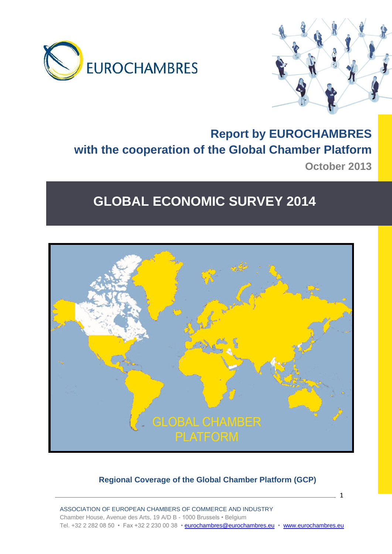



## **Report by EUROCHAMBRES with the cooperation of the Global Chamber Platform October 2013**

# **GLOBAL ECONOMIC SURVEY 2014**



## **Regional Coverage of the Global Chamber Platform (GCP)**

 $\sim$  1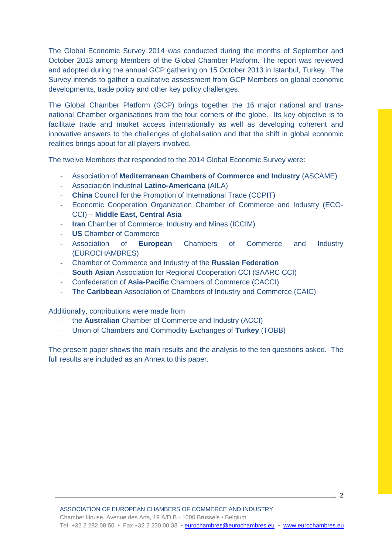The Global Economic Survey 2014 was conducted during the months of September and October 2013 among Members of the Global Chamber Platform. The report was reviewed and adopted during the annual GCP gathering on 15 October 2013 in Istanbul, Turkey. The Survey intends to gather a qualitative assessment from GCP Members on global economic developments, trade policy and other key policy challenges.

The Global Chamber Platform (GCP) brings together the 16 major national and transnational Chamber organisations from the four corners of the globe. Its key objective is to facilitate trade and market access internationally as well as developing coherent and innovative answers to the challenges of globalisation and that the shift in global economic realities brings about for all players involved.

The twelve Members that responded to the 2014 Global Economic Survey were:

- Association of **Mediterranean Chambers of Commerce and Industry** (ASCAME)
- Associación Industrial **Latino-Americana** (AILA)
- **China** Council for the Promotion of International Trade (CCPIT)
- Economic Cooperation Organization Chamber of Commerce and Industry (ECO-CCI) – **Middle East, Central Asia**
- **Iran** Chamber of Commerce, Industry and Mines (ICCIM)
- **US** Chamber of Commerce
- Association of **European** Chambers of Commerce and Industry (EUROCHAMBRES)
- Chamber of Commerce and Industry of the **Russian Federation**
- **South Asian** Association for Regional Cooperation CCI (SAARC CCI)
- Confederation of **Asia-Pacific** Chambers of Commerce (CACCI)
- The **Caribbean** Association of Chambers of Industry and Commerce (CAIC)

Additionally, contributions were made from

- the **Australian** Chamber of Commerce and Industry (ACCI)
- Union of Chambers and Commodity Exchanges of **Turkey** (TOBB)

The present paper shows the main results and the analysis to the ten questions asked. The full results are included as an Annex to this paper.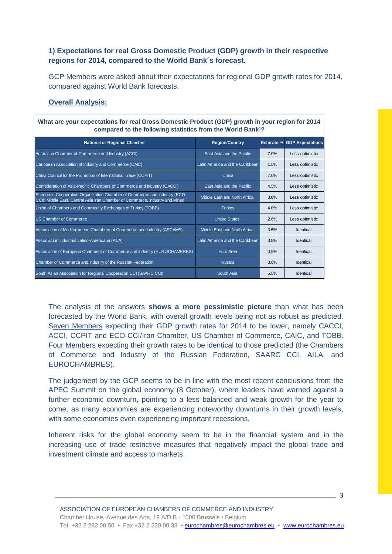## **1) Expectations for real Gross Domestic Product (GDP) growth in their respective regions for 2014, compared to the World Bank´s forecast.**

GCP Members were asked about their expectations for regional GDP growth rates for 2014, compared against World Bank forecasts.

## **Overall Analysis:**

| What are your expectations for real Gross Domestic Product (GDP) growth in your region for 2014<br>compared to the following statistics from the World Bank <sup>1</sup> ? |                                 |      |                                    |  |  |
|----------------------------------------------------------------------------------------------------------------------------------------------------------------------------|---------------------------------|------|------------------------------------|--|--|
| <b>National or Regional Chamber</b>                                                                                                                                        | <b>Region/Country</b>           |      | <b>Estimate % GDP Expectations</b> |  |  |
| Australian Chamber of Commerce and Industry (ACCI)                                                                                                                         | East Asia and the Pacific       | 7.0% | Less optimistic                    |  |  |
| Caribbean Association of Industry and Commerce (CAIC)                                                                                                                      | Latin America and the Caribbean | 1.5% | Less optimistic                    |  |  |
| China Council for the Promotion of International Trade (CCPIT)                                                                                                             | China                           | 7.0% | Less optimistic                    |  |  |
| Confederation of Asia-Pacific Chambers of Commerce and Industry (CACCI)                                                                                                    | East Asia and the Pacific       | 4.5% | Less optimistic                    |  |  |
| Economic Cooperation Organization Chamber of Commerce and Industry (ECO-<br>CCI); Middle East, Central Asia Iran Chamber of Commerce, Industry and Mines                   | Middle East and North Africa    | 3.0% | Less optimistic                    |  |  |
| Union of Chambers and Commodity Exchanges of Turkey (TOBB)                                                                                                                 | <b>Turkey</b>                   | 4.0% | Less optimistic                    |  |  |
| <b>US Chamber of Commerce</b>                                                                                                                                              | <b>United States</b>            | 2.6% | Less optimistic                    |  |  |
| Association of Mediterranean Chambers of Commerce and Industry (ASCAME)                                                                                                    | Middle East and North Africa    | 3.5% | Identical                          |  |  |
| Associación Industrial Latino-Americana (AILA)                                                                                                                             | Latin America and the Caribbean | 3.8% | Identical                          |  |  |
| Association of European Chambers of Commerce and Industry (EUROCHAMBRES)                                                                                                   | Euro Area                       | 0.9% | Identical                          |  |  |
| Chamber of Commerce and Industry of the Russian Federation                                                                                                                 | <b>Russia</b>                   | 3.6% | Identical                          |  |  |
| South Asian Association for Regional Cooperation CCI (SAARC CCI)                                                                                                           | South Asia                      | 5.5% | Identical                          |  |  |

The analysis of the answers **shows a more pessimistic picture** than what has been forecasted by the World Bank, with overall growth levels being not as robust as predicted. Seven Members expecting their GDP growth rates for 2014 to be lower, namely CACCI, ACCI, CCPIT and ECO-CCI/Iran Chamber, US Chamber of Commerce, CAIC, and TOBB. Four Members expecting their growth rates to be identical to those predicted (the Chambers of Commerce and Industry of the Russian Federation, SAARC CCI, AILA, and EUROCHAMBRES).

The judgement by the GCP seems to be in line with the most recent conclusions from the APEC Summit on the global economy (8 October), where leaders have warned against a further economic downturn, pointing to a less balanced and weak growth for the year to come, as many economies are experiencing noteworthy downturns in their growth levels, with some economies even experiencing important recessions.

Inherent risks for the global economy seem to be in the financial system and in the increasing use of trade restrictive measures that negatively impact the global trade and investment climate and access to markets.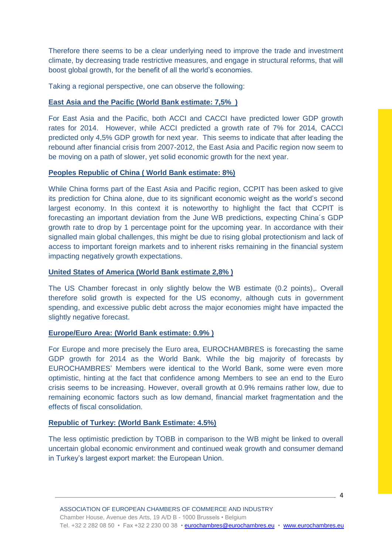Therefore there seems to be a clear underlying need to improve the trade and investment climate, by decreasing trade restrictive measures, and engage in structural reforms, that will boost global growth, for the benefit of all the world's economies.

Taking a regional perspective, one can observe the following:

## **East Asia and the Pacific (World Bank estimate: 7,5% )**

For East Asia and the Pacific, both ACCI and CACCI have predicted lower GDP growth rates for 2014. However, while ACCI predicted a growth rate of 7% for 2014, CACCI predicted only 4,5% GDP growth for next year. This seems to indicate that after leading the rebound after financial crisis from 2007-2012, the East Asia and Pacific region now seem to be moving on a path of slower, yet solid economic growth for the next year.

## **Peoples Republic of China ( World Bank estimate: 8%)**

While China forms part of the East Asia and Pacific region, CCPIT has been asked to give its prediction for China alone, due to its significant economic weight as the world's second largest economy. In this context it is noteworthy to highlight the fact that CCPIT is forecasting an important deviation from the June WB predictions, expecting China´s GDP growth rate to drop by 1 percentage point for the upcoming year. In accordance with their signalled main global challenges, this might be due to rising global protectionism and lack of access to important foreign markets and to inherent risks remaining in the financial system impacting negatively growth expectations.

## **United States of America (World Bank estimate 2,8% )**

The US Chamber forecast in only slightly below the WB estimate (0.2 points),. Overall therefore solid growth is expected for the US economy, although cuts in government spending, and excessive public debt across the major economies might have impacted the slightly negative forecast.

## **Europe/Euro Area: (World Bank estimate: 0.9% )**

For Europe and more precisely the Euro area, EUROCHAMBRES is forecasting the same GDP growth for 2014 as the World Bank. While the big majority of forecasts by EUROCHAMBRES' Members were identical to the World Bank, some were even more optimistic, hinting at the fact that confidence among Members to see an end to the Euro crisis seems to be increasing. However, overall growth at 0.9% remains rather low, due to remaining economic factors such as low demand, financial market fragmentation and the effects of fiscal consolidation.

## **Republic of Turkey: (World Bank Estimate: 4.5%)**

The less optimistic prediction by TOBB in comparison to the WB might be linked to overall uncertain global economic environment and continued weak growth and consumer demand in Turkey's largest export market: the European Union.

 $\sim$  4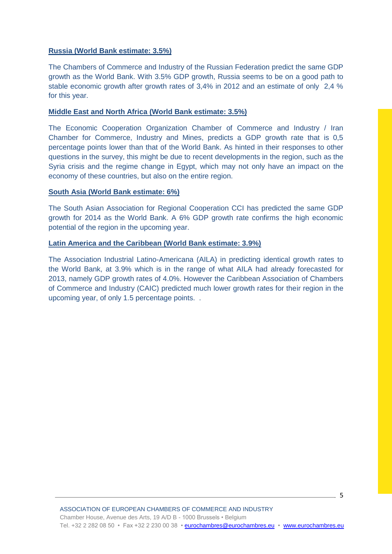## **Russia (World Bank estimate: 3.5%)**

The Chambers of Commerce and Industry of the Russian Federation predict the same GDP growth as the World Bank. With 3.5% GDP growth, Russia seems to be on a good path to stable economic growth after growth rates of 3,4% in 2012 and an estimate of only 2,4 % for this year.

## **Middle East and North Africa (World Bank estimate: 3.5%)**

The Economic Cooperation Organization Chamber of Commerce and Industry / Iran Chamber for Commerce, Industry and Mines, predicts a GDP growth rate that is 0,5 percentage points lower than that of the World Bank. As hinted in their responses to other questions in the survey, this might be due to recent developments in the region, such as the Syria crisis and the regime change in Egypt, which may not only have an impact on the economy of these countries, but also on the entire region.

## **South Asia (World Bank estimate: 6%)**

The South Asian Association for Regional Cooperation CCI has predicted the same GDP growth for 2014 as the World Bank. A 6% GDP growth rate confirms the high economic potential of the region in the upcoming year.

#### **Latin America and the Caribbean (World Bank estimate: 3.9%)**

The Association Industrial Latino-Americana (AILA) in predicting identical growth rates to the World Bank, at 3.9% which is in the range of what AILA had already forecasted for 2013, namely GDP growth rates of 4.0%. However the Caribbean Association of Chambers of Commerce and Industry (CAIC) predicted much lower growth rates for their region in the upcoming year, of only 1.5 percentage points. .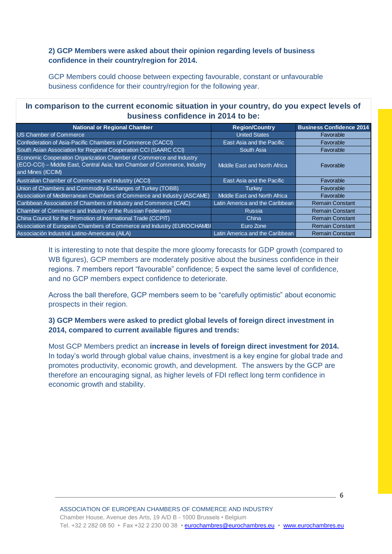## **2) GCP Members were asked about their opinion regarding levels of business confidence in their country/region for 2014.**

GCP Members could choose between expecting favourable, constant or unfavourable business confidence for their country/region for the following year.

## **In comparison to the current economic situation in your country, do you expect levels of business confidence in 2014 to be:**

| <b>National or Regional Chamber</b>                                                                                                                                  | <b>Region/Country</b>           | <b>Business Confidence 2014</b> |
|----------------------------------------------------------------------------------------------------------------------------------------------------------------------|---------------------------------|---------------------------------|
| <b>US Chamber of Commerce</b>                                                                                                                                        | <b>United States</b>            | Favorable                       |
| Confederation of Asia-Pacific Chambers of Commerce (CACCI)                                                                                                           | East Asia and the Pacific       | Favorable                       |
| South Asian Association for Regional Cooperation CCI (SAARC CCI)                                                                                                     | South Asia                      | Favorable                       |
| Economic Cooperation Organization Chamber of Commerce and Industry<br>(ECO-CCI) - Middle East, Central Asia; Iran Chamber of Commerce, Industry<br>and Mines (ICCIM) | Middle East and North Africa    | Favorable                       |
| Australian Chamber of Commerce and Industry (ACCI)                                                                                                                   | East Asia and the Pacific       | Favorable                       |
| Union of Chambers and Commodity Exchanges of Turkey (TOBB)                                                                                                           | <b>Turkey</b>                   | Favorable                       |
| Association of Mediterranean Chambers of Commerce and Industry (ASCAME)                                                                                              | Middle East and North Africa    | Favorable                       |
| Caribbean Association of Chambers of Industry and Commerce (CAIC)                                                                                                    | Latin America and the Caribbean | <b>Remain Constant</b>          |
| Chamber of Commerce and Industry of the Russian Federation                                                                                                           | <b>Russia</b>                   | <b>Remain Constant</b>          |
| China Council for the Promotion of International Trade (CCPIT)                                                                                                       | China                           | <b>Remain Constant</b>          |
| Association of European Chambers of Commerce and Industry (EUROCHAMBI                                                                                                | Euro Zone                       | <b>Remain Constant</b>          |
| Associación Industrial Latino-Americana (AILA)                                                                                                                       | Latin America and the Caribbean | <b>Remain Constant</b>          |

It is interesting to note that despite the more gloomy forecasts for GDP growth (compared to WB figures), GCP members are moderately positive about the business confidence in their regions. 7 members report "favourable" confidence; 5 expect the same level of confidence, and no GCP members expect confidence to deteriorate.

Across the ball therefore, GCP members seem to be "carefully optimistic" about economic prospects in their region.

## **3) GCP Members were asked to predict global levels of foreign direct investment in 2014, compared to current available figures and trends:**

Most GCP Members predict an **increase in levels of foreign direct investment for 2014.**  In today's world through global value chains, investment is a key engine for global trade and promotes productivity, economic growth, and development. The answers by the GCP are therefore an encouraging signal, as higher levels of FDI reflect long term confidence in economic growth and stability.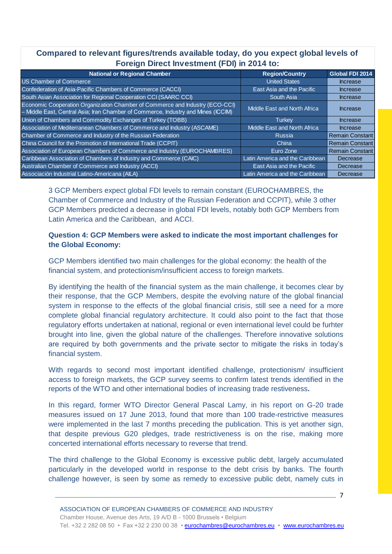## **Compared to relevant figures/trends available today, do you expect global levels of Foreign Direct Investment (FDI) in 2014 to:**

| <b>National or Regional Chamber</b>                                                                                                                               | <b>Region/Country</b>               | Global FDI 2014        |
|-------------------------------------------------------------------------------------------------------------------------------------------------------------------|-------------------------------------|------------------------|
| <b>US Chamber of Commerce</b>                                                                                                                                     | <b>United States</b>                | <b>Increase</b>        |
| Confederation of Asia-Pacific Chambers of Commerce (CACCI)                                                                                                        | East Asia and the Pacific           | <b>Increase</b>        |
| South Asian Association for Regional Cooperation CCI (SAARC CCI)                                                                                                  | South Asia                          | <b>Increase</b>        |
| Economic Cooperation Organization Chamber of Commerce and Industry (ECO-CCI)<br>- Middle East, Central Asia; Iran Chamber of Commerce, Industry and Mines (ICCIM) | <b>Middle East and North Africa</b> | <b>Increase</b>        |
| Union of Chambers and Commodity Exchanges of Turkey (TOBB)                                                                                                        | Turkey                              | <b>Increase</b>        |
| Association of Mediterranean Chambers of Commerce and Industry (ASCAME)                                                                                           | Middle East and North Africa        | <b>Increase</b>        |
| Chamber of Commerce and Industry of the Russian Federation                                                                                                        | <b>Russia</b>                       | <b>Remain Constant</b> |
| China Council for the Promotion of International Trade (CCPIT)                                                                                                    | China                               | <b>Remain Constant</b> |
| Association of European Chambers of Commerce and Industry (EUROCHAMBRES)                                                                                          | Euro Zone                           | <b>Remain Constant</b> |
| Caribbean Association of Chambers of Industry and Commerce (CAIC)                                                                                                 | Latin America and the Caribbean     | Decrease               |
| Australian Chamber of Commerce and Industry (ACCI)                                                                                                                | East Asia and the Pacific           | Decrease               |
| Associación Industrial Latino-Americana (AILA)                                                                                                                    | Latin America and the Caribbean     | Decrease               |

3 GCP Members expect global FDI levels to remain constant (EUROCHAMBRES, the Chamber of Commerce and Industry of the Russian Federation and CCPIT), while 3 other GCP Members predicted a decrease in global FDI levels, notably both GCP Members from Latin America and the Caribbean, and ACCI.

## **Question 4: GCP Members were asked to indicate the most important challenges for the Global Economy:**

GCP Members identified two main challenges for the global economy: the health of the financial system, and protectionism/insufficient access to foreign markets.

By identifying the health of the financial system as the main challenge, it becomes clear by their response, that the GCP Members, despite the evolving nature of the global financial system in response to the effects of the global financial crisis, still see a need for a more complete global financial regulatory architecture. It could also point to the fact that those regulatory efforts undertaken at national, regional or even international level could be furhter brought into line, given the global nature of the challenges. Therefore innovative solutions are required by both governments and the private sector to mitigate the risks in today's financial system.

With regards to second most important identified challenge, protectionism/ insufficient access to foreign markets, the GCP survey seems to confirm latest trends identified in the reports of the WTO and other international bodies of increasing trade restiveness**.**

In this regard, former WTO Director General Pascal Lamy, in his report on G-20 trade measures issued on 17 June 2013, found that more than 100 trade-restrictive measures were implemented in the last 7 months preceding the publication. This is yet another sign, that despite previous G20 pledges, trade restrictiveness is on the rise, making more concerted international efforts necessary to reverse that trend.

The third challenge to the Global Economy is excessive public debt, largely accumulated particularly in the developed world in response to the debt crisis by banks. The fourth challenge however, is seen by some as remedy to excessive public debt, namely cuts in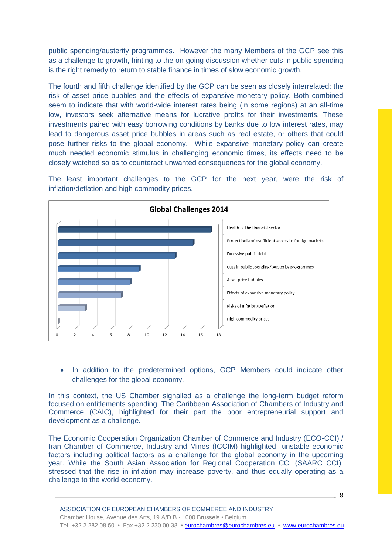public spending/austerity programmes. However the many Members of the GCP see this as a challenge to growth, hinting to the on-going discussion whether cuts in public spending is the right remedy to return to stable finance in times of slow economic growth.

The fourth and fifth challenge identified by the GCP can be seen as closely interrelated: the risk of asset price bubbles and the effects of expansive monetary policy. Both combined seem to indicate that with world-wide interest rates being (in some regions) at an all-time low, investors seek alternative means for lucrative profits for their investments. These investments paired with easy borrowing conditions by banks due to low interest rates, may lead to dangerous asset price bubbles in areas such as real estate, or others that could pose further risks to the global economy. While expansive monetary policy can create much needed economic stimulus in challenging economic times, its effects need to be closely watched so as to counteract unwanted consequences for the global economy.

The least important challenges to the GCP for the next year, were the risk of inflation/deflation and high commodity prices.



• In addition to the predetermined options, GCP Members could indicate other challenges for the global economy.

In this context, the US Chamber signalled as a challenge the long-term budget reform focused on entitlements spending. The Caribbean Association of Chambers of Industry and Commerce (CAIC), highlighted for their part the poor entrepreneurial support and development as a challenge.

The Economic Cooperation Organization Chamber of Commerce and Industry (ECO-CCI) / Iran Chamber of Commerce, Industry and Mines (ICCIM) highlighted unstable economic factors including political factors as a challenge for the global economy in the upcoming year. While the South Asian Association for Regional Cooperation CCI (SAARC CCI), stressed that the rise in inflation may increase poverty, and thus equally operating as a challenge to the world economy.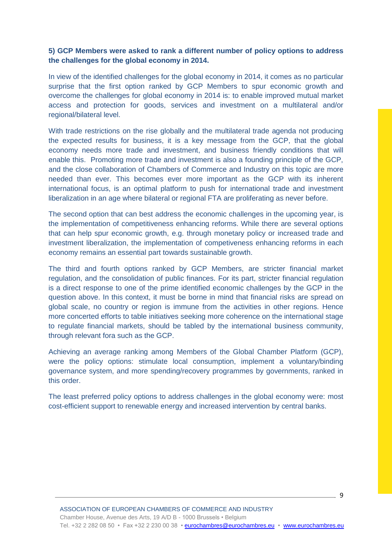## **5) GCP Members were asked to rank a different number of policy options to address the challenges for the global economy in 2014.**

In view of the identified challenges for the global economy in 2014, it comes as no particular surprise that the first option ranked by GCP Members to spur economic growth and overcome the challenges for global economy in 2014 is: to enable improved mutual market access and protection for goods, services and investment on a multilateral and/or regional/bilateral level.

With trade restrictions on the rise globally and the multilateral trade agenda not producing the expected results for business, it is a key message from the GCP, that the global economy needs more trade and investment, and business friendly conditions that will enable this. Promoting more trade and investment is also a founding principle of the GCP, and the close collaboration of Chambers of Commerce and Industry on this topic are more needed than ever. This becomes ever more important as the GCP with its inherent international focus, is an optimal platform to push for international trade and investment liberalization in an age where bilateral or regional FTA are proliferating as never before.

The second option that can best address the economic challenges in the upcoming year, is the implementation of competitiveness enhancing reforms. While there are several options that can help spur economic growth, e.g. through monetary policy or increased trade and investment liberalization, the implementation of competiveness enhancing reforms in each economy remains an essential part towards sustainable growth.

The third and fourth options ranked by GCP Members, are stricter financial market regulation, and the consolidation of public finances. For its part, stricter financial regulation is a direct response to one of the prime identified economic challenges by the GCP in the question above. In this context, it must be borne in mind that financial risks are spread on global scale, no country or region is immune from the activities in other regions. Hence more concerted efforts to table initiatives seeking more coherence on the international stage to regulate financial markets, should be tabled by the international business community, through relevant fora such as the GCP.

Achieving an average ranking among Members of the Global Chamber Platform (GCP), were the policy options: stimulate local consumption, implement a voluntary/binding governance system, and more spending/recovery programmes by governments, ranked in this order.

The least preferred policy options to address challenges in the global economy were: most cost-efficient support to renewable energy and increased intervention by central banks.

9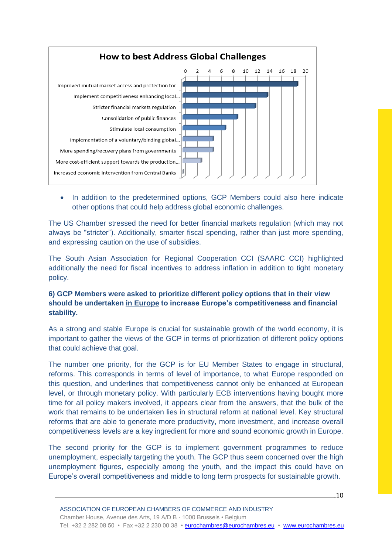

• In addition to the predetermined options, GCP Members could also here indicate other options that could help address global economic challenges.

The US Chamber stressed the need for better financial markets regulation (which may not always be "stricter"). Additionally, smarter fiscal spending, rather than just more spending, and expressing caution on the use of subsidies.

The South Asian Association for Regional Cooperation CCI (SAARC CCI) highlighted additionally the need for fiscal incentives to address inflation in addition to tight monetary policy.

## **6) GCP Members were asked to prioritize different policy options that in their view should be undertaken in Europe to increase Europe's competitiveness and financial stability.**

As a strong and stable Europe is crucial for sustainable growth of the world economy, it is important to gather the views of the GCP in terms of prioritization of different policy options that could achieve that goal.

The number one priority, for the GCP is for EU Member States to engage in structural, reforms. This corresponds in terms of level of importance, to what Europe responded on this question, and underlines that competitiveness cannot only be enhanced at European level, or through monetary policy. With particularly ECB interventions having bought more time for all policy makers involved, it appears clear from the answers, that the bulk of the work that remains to be undertaken lies in structural reform at national level. Key structural reforms that are able to generate more productivity, more investment, and increase overall competitiveness levels are a key ingredient for more and sound economic growth in Europe.

The second priority for the GCP is to implement government programmes to reduce unemployment, especially targeting the youth. The GCP thus seem concerned over the high unemployment figures, especially among the youth, and the impact this could have on Europe's overall competitiveness and middle to long term prospects for sustainable growth.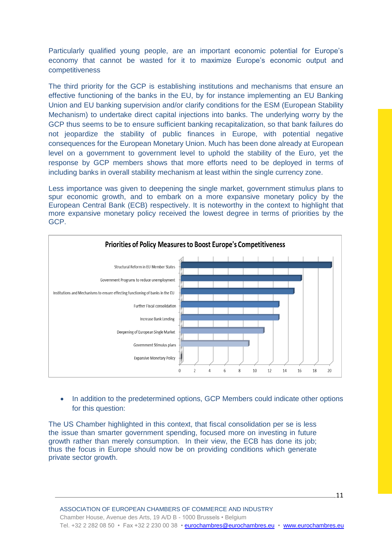Particularly qualified young people, are an important economic potential for Europe's economy that cannot be wasted for it to maximize Europe's economic output and competitiveness

The third priority for the GCP is establishing institutions and mechanisms that ensure an effective functioning of the banks in the EU, by for instance implementing an EU Banking Union and EU banking supervision and/or clarify conditions for the ESM (European Stability Mechanism) to undertake direct capital injections into banks. The underlying worry by the GCP thus seems to be to ensure sufficient banking recapitalization, so that bank failures do not jeopardize the stability of public finances in Europe, with potential negative consequences for the European Monetary Union. Much has been done already at European level on a government to government level to uphold the stability of the Euro, yet the response by GCP members shows that more efforts need to be deployed in terms of including banks in overall stability mechanism at least within the single currency zone.

Less importance was given to deepening the single market, government stimulus plans to spur economic growth, and to embark on a more expansive monetary policy by the European Central Bank (ECB) respectively. It is noteworthy in the context to highlight that more expansive monetary policy received the lowest degree in terms of priorities by the GCP.



• In addition to the predetermined options, GCP Members could indicate other options for this question:

The US Chamber highlighted in this context, that fiscal consolidation per se is less the issue than smarter government spending, focused more on investing in future growth rather than merely consumption. In their view, the ECB has done its job; thus the focus in Europe should now be on providing conditions which generate private sector growth.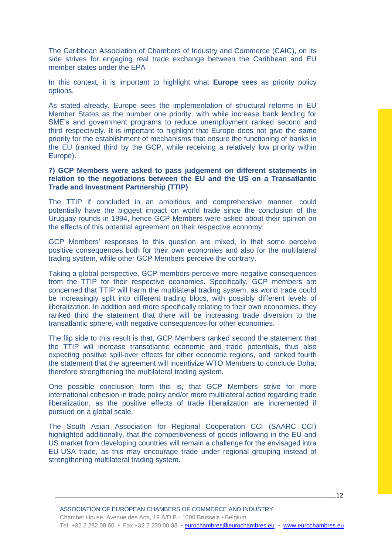The Caribbean Association of Chambers of Industry and Commerce (CAIC), on its side strives for engaging real trade exchange between the Caribbean and EU member states under the EPA

In this context, it is important to highlight what **Europe** sees as priority policy options.

As stated already, Europe sees the implementation of structural reforms in EU Member States as the number one priority, with while increase bank lending for SME's and government programs to reduce unemployment ranked second and third respectively. It is important to highlight that Europe does not give the same priority for the establishment of mechanisms that ensure the functioning of banks in the EU (ranked third by the GCP, while receiving a relatively low priority within Europe).

**7) GCP Members were asked to pass judgement on different statements in relation to the negotiations between the EU and the US on a Transatlantic Trade and Investment Partnership (TTIP)** 

The TTIP if concluded in an ambitious and comprehensive manner, could potentially have the biggest impact on world trade since the conclusion of the Uruguay rounds in 1994, hence GCP Members were asked about their opinion on the effects of this potential agreement on their respective economy.

GCP Members' responses to this question are mixed, in that some perceive positive consequences both for their own economies and also for the multilateral trading system, while other GCP Members perceive the contrary.

Taking a global perspective, GCP members perceive more negative consequences from the TTIP for their respective economies. Specifically, GCP members are concerned that TTIP will harm the multilateral trading system, as world trade could be increasingly split into different trading blocs, with possibly different levels of liberalization. In addition and more specifically relating to their own economies, they ranked third the statement that there will be increasing trade diversion to the transatlantic sphere, with negative consequences for other economies.

The flip side to this result is that, GCP Members ranked second the statement that the TTIP will increase transatlantic economic and trade potentials, thus also expecting positive spill-over effects for other economic regions, and ranked fourth the statement that the agreement will incentivize WTO Members to conclude Doha, therefore strengthening the multilateral trading system.

One possible conclusion form this is, that GCP Members strive for more international cohesion in trade policy and/or more multilateral action regarding trade liberalization, as the positive effects of trade liberalization are incremented if pursued on a global scale.

The South Asian Association for Regional Cooperation CCI (SAARC CCI) highlighted additionally, that the competitiveness of goods inflowing in the EU and US market from developing countries will remain a challenge for the envisaged intra EU-USA trade, as this may encourage trade under regional grouping instead of strengthening multilateral trading system.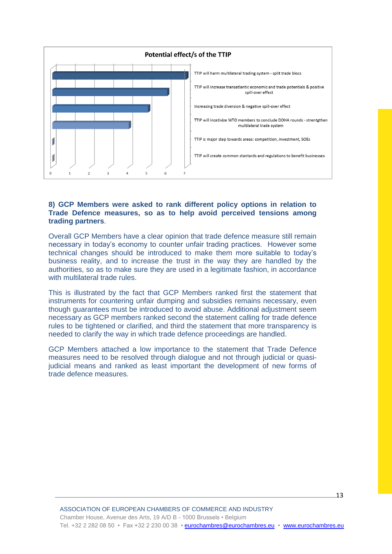

#### **8) GCP Members were asked to rank different policy options in relation to Trade Defence measures, so as to help avoid perceived tensions among trading partners**.

Overall GCP Members have a clear opinion that trade defence measure still remain necessary in today's economy to counter unfair trading practices. However some technical changes should be introduced to make them more suitable to today's business reality, and to increase the trust in the way they are handled by the authorities, so as to make sure they are used in a legitimate fashion, in accordance with multilateral trade rules.

This is illustrated by the fact that GCP Members ranked first the statement that instruments for countering unfair dumping and subsidies remains necessary, even though guarantees must be introduced to avoid abuse. Additional adjustment seem necessary as GCP members ranked second the statement calling for trade defence rules to be tightened or clarified, and third the statement that more transparency is needed to clarify the way in which trade defence proceedings are handled.

GCP Members attached a low importance to the statement that Trade Defence measures need to be resolved through dialogue and not through judicial or quasijudicial means and ranked as least important the development of new forms of trade defence measures.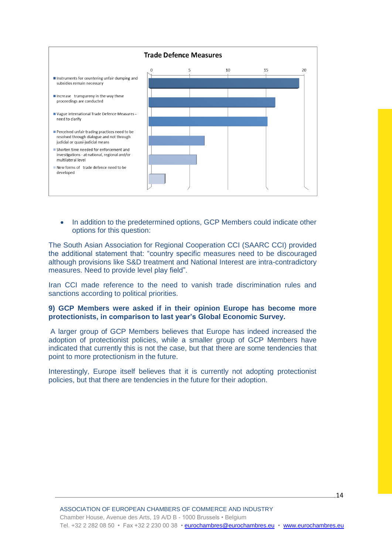

• In addition to the predetermined options, GCP Members could indicate other options for this question:

The South Asian Association for Regional Cooperation CCI (SAARC CCI) provided the additional statement that: "country specific measures need to be discouraged although provisions like S&D treatment and National Interest are intra-contradictory measures. Need to provide level play field".

Iran CCI made reference to the need to vanish trade discrimination rules and sanctions according to political priorities.

#### **9) GCP Members were asked if in their opinion Europe has become more protectionists, in comparison to last year's Global Economic Survey.**

A larger group of GCP Members believes that Europe has indeed increased the adoption of protectionist policies, while a smaller group of GCP Members have indicated that currently this is not the case, but that there are some tendencies that point to more protectionism in the future.

Interestingly, Europe itself believes that it is currently not adopting protectionist policies, but that there are tendencies in the future for their adoption.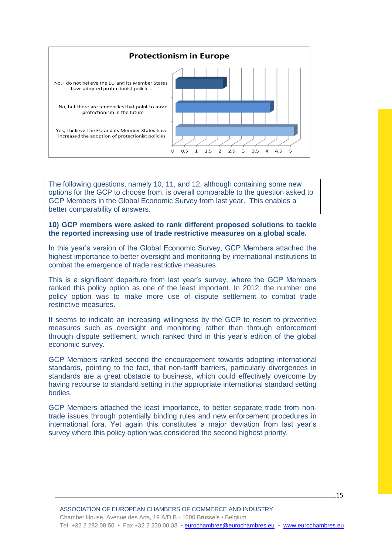

The following questions, namely 10, 11, and 12, although containing some new options for the GCP to choose from, is overall comparable to the question asked to GCP Members in the Global Economic Survey from last year. This enables a better comparability of answers.

#### **10) GCP members were asked to rank different proposed solutions to tackle the reported increasing use of trade restrictive measures on a global scale.**

In this year's version of the Global Economic Survey, GCP Members attached the highest importance to better oversight and monitoring by international institutions to combat the emergence of trade restrictive measures.

This is a significant departure from last year's survey, where the GCP Members ranked this policy option as one of the least important. In 2012, the number one policy option was to make more use of dispute settlement to combat trade restrictive measures.

It seems to indicate an increasing willingness by the GCP to resort to preventive measures such as oversight and monitoring rather than through enforcement through dispute settlement, which ranked third in this year's edition of the global economic survey.

GCP Members ranked second the encouragement towards adopting international standards, pointing to the fact, that non-tariff barriers, particularly divergences in standards are a great obstacle to business, which could effectively overcome by having recourse to standard setting in the appropriate international standard setting bodies.

GCP Members attached the least importance, to better separate trade from nontrade issues through potentially binding rules and new enforcement procedures in international fora. Yet again this constitutes a major deviation from last year's survey where this policy option was considered the second highest priority.

<u>15 - Andrea Andrew Andrew American (</u>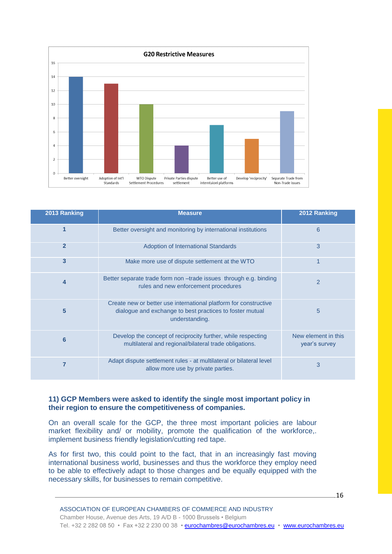

| 2013 Ranking   | <b>Measure</b>                                                                                                                                 | 2012 Ranking                         |
|----------------|------------------------------------------------------------------------------------------------------------------------------------------------|--------------------------------------|
| 1              | Better oversight and monitoring by international institutions                                                                                  | 6                                    |
| $\overline{2}$ | <b>Adoption of International Standards</b>                                                                                                     | 3                                    |
| 3              | Make more use of dispute settlement at the WTO                                                                                                 |                                      |
| 4              | Better separate trade form non -trade issues through e.g. binding<br>rules and new enforcement procedures                                      | $\overline{2}$                       |
| 5              | Create new or better use international platform for constructive<br>dialogue and exchange to best practices to foster mutual<br>understanding. | 5                                    |
| 6              | Develop the concept of reciprocity further, while respecting<br>multilateral and regional/bilateral trade obligations.                         | New element in this<br>year's survey |
|                | Adapt dispute settlement rules - at multilateral or bilateral level<br>allow more use by private parties.                                      | 3                                    |

#### **11) GCP Members were asked to identify the single most important policy in their region to ensure the competitiveness of companies.**

On an overall scale for the GCP, the three most important policies are labour market flexibility and/ or mobility, promote the qualification of the workforce,. implement business friendly legislation/cutting red tape.

As for first two, this could point to the fact, that in an increasingly fast moving international business world, businesses and thus the workforce they employ need to be able to effectively adapt to those changes and be equally equipped with the necessary skills, for businesses to remain competitive.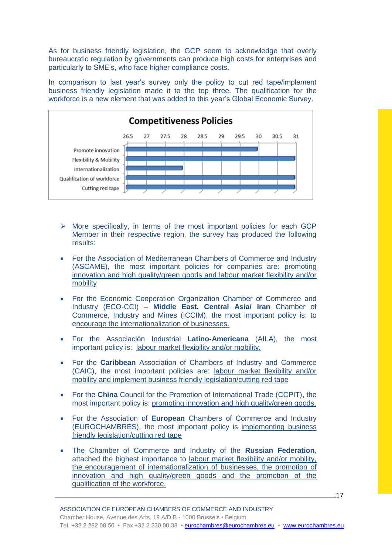As for business friendly legislation, the GCP seem to acknowledge that overly bureaucratic regulation by governments can produce high costs for enterprises and particularly to SME's, who face higher compliance costs.

In comparison to last year's survey only the policy to cut red tape/implement business friendly legislation made it to the top three. The qualification for the workforce is a new element that was added to this year's Global Economic Survey.



- $\triangleright$  More specifically, in terms of the most important policies for each GCP Member in their respective region, the survey has produced the following results:
- For the Association of Mediterranean Chambers of Commerce and Industry (ASCAME), the most important policies for companies are: promoting innovation and high quality/green goods and labour market flexibility and/or mobility
- For the Economic Cooperation Organization Chamber of Commerce and Industry (ECO-CCI) – **Middle East, Central Asia/ Iran** Chamber of Commerce, Industry and Mines (ICCIM), the most important policy is: to encourage the internationalization of businesses.
- For the Associación Industrial **Latino-Americana** (AILA), the most important policy is: labour market flexibility and/or mobility.
- For the **Caribbean** Association of Chambers of Industry and Commerce (CAIC), the most important policies are: labour market flexibility and/or mobility and implement business friendly legislation/cutting red tape
- For the **China** Council for the Promotion of International Trade (CCPIT), the most important policy is: promoting innovation and high quality/green goods.
- For the Association of **European** Chambers of Commerce and Industry (EUROCHAMBRES), the most important policy is implementing business friendly legislation/cutting red tape
- The Chamber of Commerce and Industry of the **Russian Federation**, attached the highest importance to labour market flexibility and/or mobility, the encouragement of internationalization of businesses, the promotion of innovation and high quality/green goods and the promotion of the qualification of the workforce.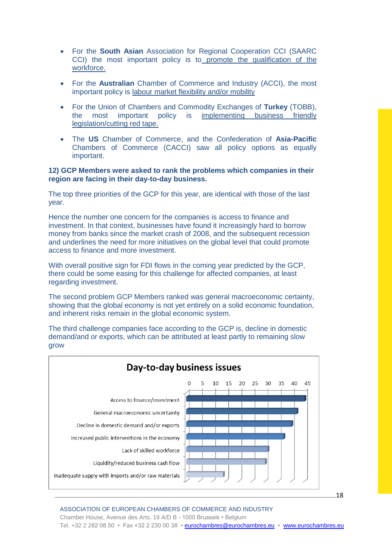- For the **South Asian** Association for Regional Cooperation CCI (SAARC CCI) the most important policy is to promote the qualification of the workforce.
- For the **Australian** Chamber of Commerce and Industry (ACCI), the most important policy is labour market flexibility and/or mobility
- For the Union of Chambers and Commodity Exchanges of **Turkey** (TOBB), the most important policy is implementing business friendly legislation/cutting red tape.
- The **US** Chamber of Commerce, and the Confederation of **Asia-Pacific** Chambers of Commerce (CACCI) saw all policy options as equally important.

#### **12) GCP Members were asked to rank the problems which companies in their region are facing in their day-to-day business.**

The top three priorities of the GCP for this year, are identical with those of the last year.

Hence the number one concern for the companies is access to finance and investment. In that context, businesses have found it increasingly hard to borrow money from banks since the market crash of 2008, and the subsequent recession and underlines the need for more initiatives on the global level that could promote access to finance and more investment.

With overall positive sign for FDI flows in the coming year predicted by the GCP, there could be some easing for this challenge for affected companies, at least regarding investment.

The second problem GCP Members ranked was general macroeconomic certainty, showing that the global economy is not yet entirely on a solid economic foundation, and inherent risks remain in the global economic system.

The third challenge companies face according to the GCP is, decline in domestic demand/and or exports, which can be attributed at least partly to remaining slow grow



ASSOCIATION OF EUROPEAN CHAMBERS OF COMMERCE AND INDUSTRY Chamber House, Avenue des Arts, 19 A/D B - 1000 Brussels • Belgium Tel. +32 2 282 08 50 • Fax +32 2 230 00 38 • eurochambres@eurochambres.eu • www.eurochambres.eu